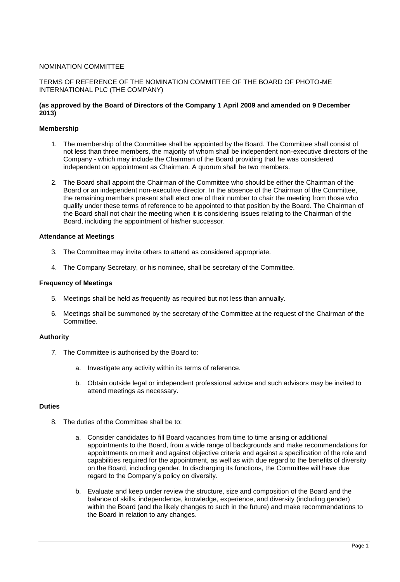# NOMINATION COMMITTEE

## TERMS OF REFERENCE OF THE NOMINATION COMMITTEE OF THE BOARD OF PHOTO-ME INTERNATIONAL PLC (THE COMPANY)

## **(as approved by the Board of Directors of the Company 1 April 2009 and amended on 9 December 2013)**

### **Membership**

- 1. The membership of the Committee shall be appointed by the Board. The Committee shall consist of not less than three members, the majority of whom shall be independent non-executive directors of the Company - which may include the Chairman of the Board providing that he was considered independent on appointment as Chairman. A quorum shall be two members.
- 2. The Board shall appoint the Chairman of the Committee who should be either the Chairman of the Board or an independent non-executive director. In the absence of the Chairman of the Committee, the remaining members present shall elect one of their number to chair the meeting from those who qualify under these terms of reference to be appointed to that position by the Board. The Chairman of the Board shall not chair the meeting when it is considering issues relating to the Chairman of the Board, including the appointment of his/her successor.

#### **Attendance at Meetings**

- 3. The Committee may invite others to attend as considered appropriate.
- 4. The Company Secretary, or his nominee, shall be secretary of the Committee.

#### **Frequency of Meetings**

- 5. Meetings shall be held as frequently as required but not less than annually.
- 6. Meetings shall be summoned by the secretary of the Committee at the request of the Chairman of the Committee.

### **Authority**

- 7. The Committee is authorised by the Board to:
	- a. Investigate any activity within its terms of reference.
	- b. Obtain outside legal or independent professional advice and such advisors may be invited to attend meetings as necessary.

## **Duties**

- 8. The duties of the Committee shall be to:
	- a. Consider candidates to fill Board vacancies from time to time arising or additional appointments to the Board, from a wide range of backgrounds and make recommendations for appointments on merit and against objective criteria and against a specification of the role and capabilities required for the appointment, as well as with due regard to the benefits of diversity on the Board, including gender. In discharging its functions, the Committee will have due regard to the Company's policy on diversity.
	- b. Evaluate and keep under review the structure, size and composition of the Board and the balance of skills, independence, knowledge, experience, and diversity (including gender) within the Board (and the likely changes to such in the future) and make recommendations to the Board in relation to any changes.